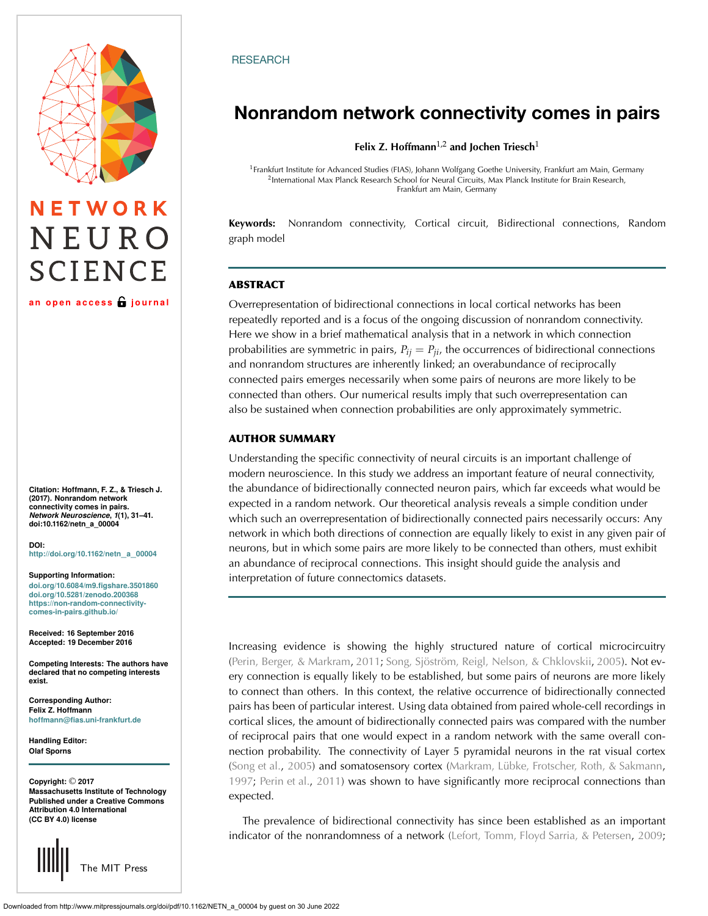# NETWORK NEURO **SCIENCE**

**an open access journal**

**Citation: Hoffmann, F. Z., & Triesch J. (2017). Nonrandom network connectivity comes in pairs.** *Network Neuroscience***,** *1***(1), 31–41. doi:10.1162/netn\_a\_00004**

**DOI: [http://doi.org/10.1162/netn](http://dx.doi.org/10.1162/netn_a_00004)**\_**a**\_**<sup>00004</sup>**

**Supporting Information:**

**[doi.org/10.6084/m9.figshare.3501860](https://dx.doi.org/10.6084/m9.figshare.3501860) [doi.org/10.5281/zenodo.200368](https://dx.doi.org/10.5281/zenodo.200368) [https://non-random-connectivity](https://non-random-connectivity-comes-in-pairs.github.io/)comes-in-pairs.github.io/**

**Received: 16 September 2016 Accepted: 19 December 2016**

**Competing Interests: The authors have declared that no competing interests exist.**

**Corresponding Author: Felix Z. Hoffmann [hoffmann@fias.uni-frankfurt.de](mailto:hoffmann@fias.uni-frankfurt.de)**

**Handling Editor: Olaf Sporns**

**Copyright:** © **2017 Massachusetts Institute of Technology Published under a Creative Commons Attribution 4.0 International (CC BY 4.0) license**



# **RESEARCH**

# **Nonrandom network connectivity comes in pairs**

**Felix Z. Hoffmann**1,2 **and Jochen Triesch**<sup>1</sup>

<sup>1</sup>Frankfurt Institute for Advanced Studies (FIAS), Johann Wolfgang Goethe University, Frankfurt am Main, Germany <sup>2</sup>International Max Planck Research School for Neural Circuits, Max Planck Institute for Brain Research, Frankfurt am Main, Germany

**Keywords:** Nonrandom connectivity, Cortical circuit, Bidirectional connections, Random graph model

# **ABSTRACT**

Overrepresentation of bidirectional connections in local cortical networks has been repeatedly reported and is a focus of the ongoing discussion of nonrandom connectivity. Here we show in a brief mathematical analysis that in a network in which connection probabilities are symmetric in pairs,  $P_{ij} = P_{ji}$ , the occurrences of bidirectional connections and nonrandom structures are inherently linked; an overabundance of reciprocally connected pairs emerges necessarily when some pairs of neurons are more likely to be connected than others. Our numerical results imply that such overrepresentation can also be sustained when connection probabilities are only approximately symmetric.

# **AUTHOR SUMMARY**

Understanding the specific connectivity of neural circuits is an important challenge of modern neuroscience. In this study we address an important feature of neural connectivity, the abundance of bidirectionally connected neuron pairs, which far exceeds what would be expected in a random network. Our theoretical analysis reveals a simple condition under which such an overrepresentation of bidirectionally connected pairs necessarily occurs: Any network in which both directions of connection are equally likely to exist in any given pair of neurons, but in which some pairs are more likely to be connected than others, must exhibit an abundance of reciprocal connections. This insight should guide the analysis and interpretation of future connectomics datasets.

Increasing evidence is showing the highly structured nature of cortical microcircuitry [\(Perin, Berger, & Markram](#page-10-0), [2011](#page-10-0); [Song, Sjöström, Reigl, Nelson, & Chklovskii,](#page-10-1) [2005\)](#page-10-1). Not every connection is equally likely to be established, but some pairs of neurons are more likely to connect than others. In this context, the relative occurrence of bidirectionally connected pairs has been of particular interest. Using data obtained from paired whole-cell recordings in cortical slices, the amount of bidirectionally connected pairs was compared with the number of reciprocal pairs that one would expect in a random network with the same overall connection probability. The connectivity of Layer 5 pyramidal neurons in the rat visual cortex [\(Song et al.](#page-10-1), [2005\)](#page-10-1) and somatosensory cortex [\(Markram, Lübke, Frotscher, Roth, & Sakmann](#page-10-2), [1997;](#page-10-2) [Perin et al.](#page-10-0), [2011](#page-10-0)) was shown to have significantly more reciprocal connections than expected.

The prevalence of bidirectional connectivity has since been established as an important indicator of the nonrandomness of a network [\(Lefort, Tomm, Floyd Sarria, & Petersen](#page-10-3), [2009](#page-10-3);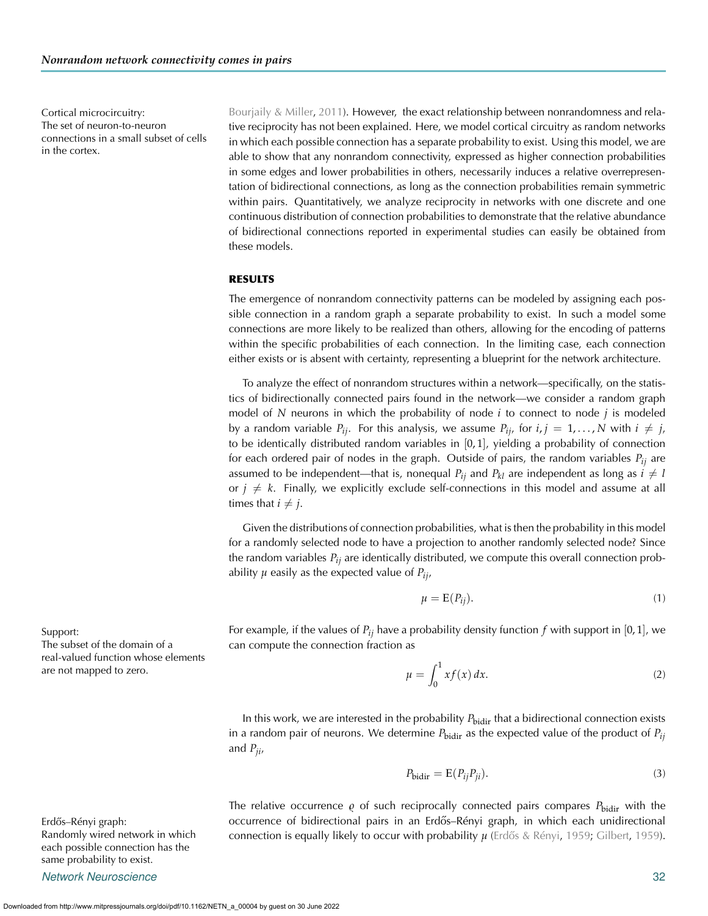The set of neuron-to-neuron connections in a small subset of cells in the cortex.

Cortical microcircuitry: [Bourjaily & Miller,](#page-10-4) [2011\)](#page-10-4). However, the exact relationship between nonrandomness and relative reciprocity has not been explained. Here, we model cortical circuitry as random networks in which each possible connection has a separate probability to exist. Using this model, we are able to show that any nonrandom connectivity, expressed as higher connection probabilities in some edges and lower probabilities in others, necessarily induces a relative overrepresentation of bidirectional connections, as long as the connection probabilities remain symmetric within pairs. Quantitatively, we analyze reciprocity in networks with one discrete and one continuous distribution of connection probabilities to demonstrate that the relative abundance of bidirectional connections reported in experimental studies can easily be obtained from these models.

# **RESULTS**

The emergence of nonrandom connectivity patterns can be modeled by assigning each possible connection in a random graph a separate probability to exist. In such a model some connections are more likely to be realized than others, allowing for the encoding of patterns within the specific probabilities of each connection. In the limiting case, each connection either exists or is absent with certainty, representing a blueprint for the network architecture.

To analyze the effect of nonrandom structures within a network—specifically, on the statistics of bidirectionally connected pairs found in the network—we consider a random graph model of *N* neurons in which the probability of node *i* to connect to node *j* is modeled by a random variable  $P_{ij}$ . For this analysis, we assume  $P_{ij}$ , for  $i, j = 1, \ldots, N$  with  $i \neq j$ , to be identically distributed random variables in  $[0, 1]$ , yielding a probability of connection for each ordered pair of nodes in the graph. Outside of pairs, the random variables  $P_{ii}$  are assumed to be independent—that is, nonequal  $P_{ij}$  and  $P_{kl}$  are independent as long as  $i \neq l$ or  $j \neq k$ . Finally, we explicitly exclude self-connections in this model and assume at all times that  $i \neq j$ .

Given the distributions of connection probabilities, what is then the probability in this model for a randomly selected node to have a projection to another randomly selected node? Since the random variables *Pij* are identically distributed, we compute this overall connection probability  $\mu$  easily as the expected value of  $P_{ii}$ ,

$$
\mu = \mathcal{E}(P_{ij}).\tag{1}
$$

Support: For example, if the values of  $P_{ij}$  have a probability density function *f* with support in [0, 1], we can compute the connection fraction as

$$
\mu = \int_0^1 x f(x) dx. \tag{2}
$$

In this work, we are interested in the probability  $P_{\text{bidir}}$  that a bidirectional connection exists in a random pair of neurons. We determine  $P_{\text{bidir}}$  as the expected value of the product of  $P_{ij}$ and *Pji*,

$$
P_{\text{bidir}} = \mathcal{E}(P_{ij}P_{ji}).\tag{3}
$$

The relative occurrence  $\varrho$  of such reciprocally connected pairs compares  $P_{\text{bidir}}$  with the Erdos–Rényi graph: ˝ occurrence of bidirectional pairs in an Erdos–Rényi graph, in which each unidirectional ˝ **connection is equally likely to occur with probability** *μ* (Erdős & Rényi, 1959, [Gilbert](#page-10-6), [1959\)](#page-10-6).

The subset of the domain of a real-valued function whose elements are not mapped to zero.

Randomly wired network in which each possible connection has the same probability to exist.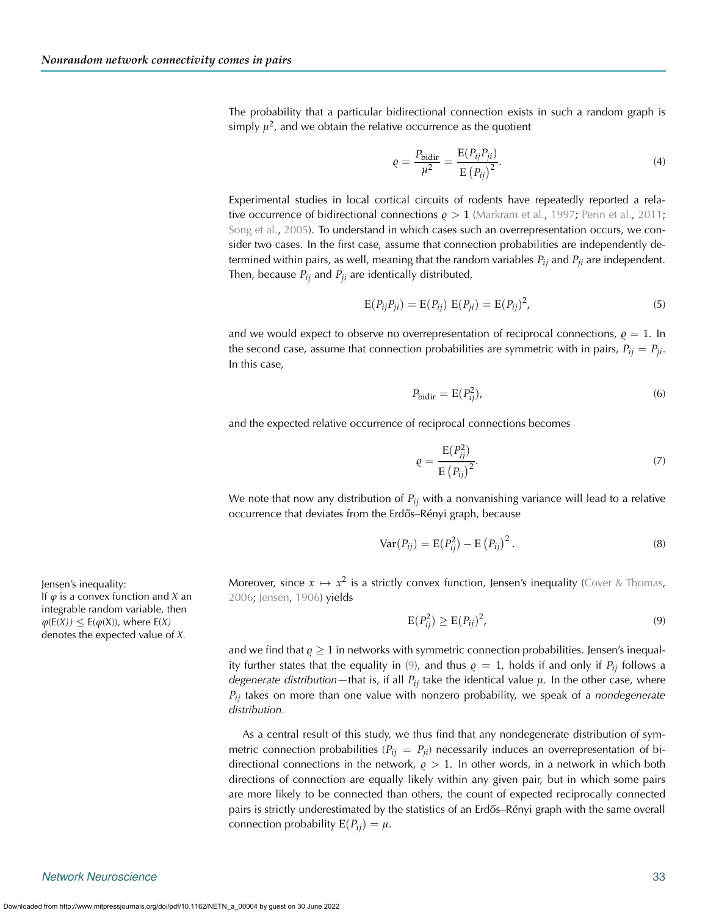The probability that a particular bidirectional connection exists in such a random graph is simply  $\mu^2$ , and we obtain the relative occurrence as the quotient

<span id="page-2-1"></span>
$$
\varrho = \frac{P_{\text{bidir}}}{\mu^2} = \frac{E(P_{ij}P_{ji})}{E(P_{ij})^2}.
$$
\n(4)

Experimental studies in local cortical circuits of rodents have repeatedly reported a rela**tive occurrence of bidirectional connections**  $\rho > 1$  **[\(Markram et al.](#page-10-2), [1997;](#page-10-2) [Perin et al.](#page-10-0), [2011](#page-10-0);** [Song et al.](#page-10-1), [2005\)](#page-10-1). To understand in which cases such an overrepresentation occurs, we consider two cases. In the first case, assume that connection probabilities are independently determined within pairs, as well, meaning that the random variables *Pij* and *Pji* are independent. Then, because  $P_{ij}$  and  $P_{ji}$  are identically distributed,

$$
E(P_{ij}P_{ji}) = E(P_{ij}) E(P_{ji}) = E(P_{ij})^2,
$$
\n(5)

and we would expect to observe no overrepresentation of reciprocal connections,  $\rho = 1$ . In the second case, assume that connection probabilities are symmetric with in pairs,  $P_{ij} = P_{ji}$ . In this case,

$$
P_{\text{bidir}} = \mathcal{E}(P_{ij}^2),\tag{6}
$$

and the expected relative occurrence of reciprocal connections becomes

$$
\varrho = \frac{\mathcal{E}(P_{ij}^2)}{\mathcal{E}\left(P_{ij}\right)^2}.\tag{7}
$$

We note that now any distribution of *Pij* with a nonvanishing variance will lead to a relative occurrence that deviates from the Erdős-Rényi graph, because

$$
Var(P_{ij}) = E(P_{ij}^2) - E(P_{ij})^2.
$$
 (8)

Jensen's inequality: **itclubity:** Moreover, since  $x \mapsto x^2$  is a strictly convex function, Jensen's inequality [\(Cover & Thomas](#page-10-7), [2006;](#page-10-7) [Jensen](#page-10-8), [1906\)](#page-10-8) yields

<span id="page-2-0"></span>
$$
E(P_{ij}^2) \ge E(P_{ij})^2,\tag{9}
$$

and we find that  $\varrho \geq 1$  in networks with symmetric connection probabilities. Jensen's inequal-ity further states that the equality in [\(9\)](#page-2-0), and thus  $\rho = 1$ , holds if and only if  $P_{ij}$  follows a *degenerate distribution—that is, if all*  $P_{ij}$  *take the identical value*  $\mu$ *. In the other case, where Pij* takes on more than one value with nonzero probability, we speak of a *nondegenerate distribution.*

As a central result of this study, we thus find that any nondegenerate distribution of symmetric connection probabilities  $(P_{ij} = P_{ji})$  necessarily induces an overrepresentation of bidirectional connections in the network,  $\rho > 1$ . In other words, in a network in which both directions of connection are equally likely within any given pair, but in which some pairs are more likely to be connected than others, the count of expected reciprocally connected pairs is strictly underestimated by the statistics of an Erdős–Rényi graph with the same overall connection probability  $E(P_{ij}) = \mu$ .

If  $\varphi$  is a convex function and *X* an integrable random variable, then  $\varphi$ (*E*(*X*))  $\leq$  *E*( $\varphi$ (*X*)), where *E*(*X*) denotes the expected value of *X.*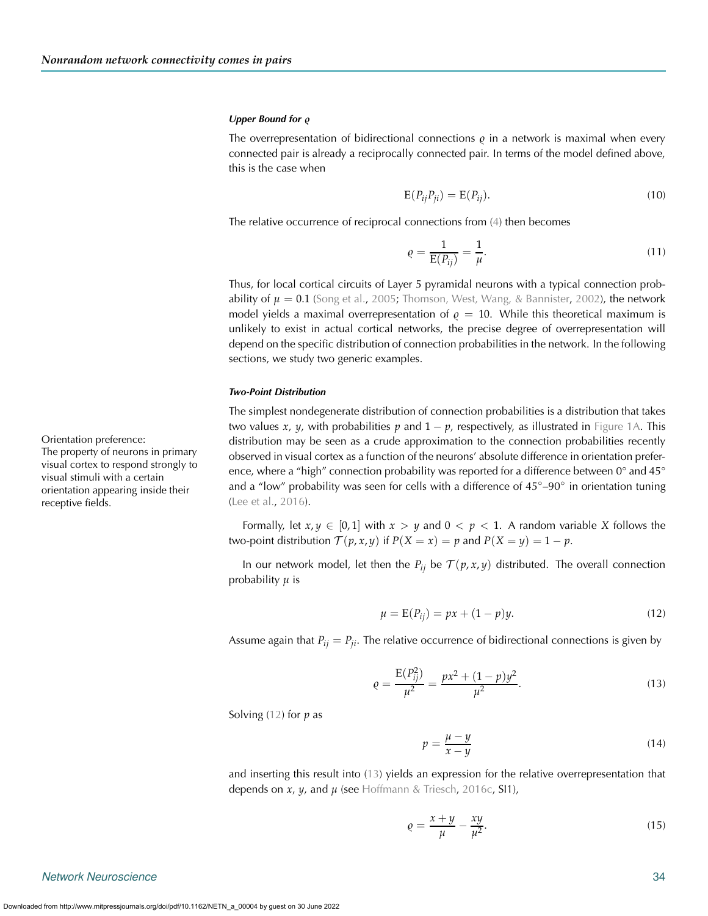#### *Upper Bound for*  $\varrho$

The overrepresentation of bidirectional connections  $\varrho$  in a network is maximal when every connected pair is already a reciprocally connected pair. In terms of the model defined above, this is the case when

$$
E(P_{ij}P_{ji}) = E(P_{ij}).
$$
\n(10)

The relative occurrence of reciprocal connections from [\(4\)](#page-2-1) then becomes

<span id="page-3-2"></span>
$$
\varrho = \frac{1}{E(P_{ij})} = \frac{1}{\mu}.
$$
\n(11)

Thus, for local cortical circuits of Layer 5 pyramidal neurons with a typical connection probability of  $\mu = 0.1$  [\(Song et al.](#page-10-1), [2005;](#page-10-1) [Thomson, West, Wang, & Bannister,](#page-10-9) [2002](#page-10-9)), the network model yields a maximal overrepresentation of  $\rho = 10$ . While this theoretical maximum is unlikely to exist in actual cortical networks, the precise degree of overrepresentation will depend on the specific distribution of connection probabilities in the network. In the following sections, we study two generic examples.

#### *Two-Point Distribution*

The simplest nondegenerate distribution of connection probabilities is a distribution that takes two values *x*, *y*, with probabilities *p* and  $1 - p$ , respectively, as illustrated in [Figure 1A.](#page-4-0) This distribution may be seen as a crude approximation to the connection probabilities recently observed in visual cortex as a function of the neurons' absolute difference in orientation preference, where a "high" connection probability was reported for a difference between 0° and 45° and a "low" probability was seen for cells with a difference of  $45°-90°$  in orientation tuning [\(Lee et al.](#page-10-10), [2016\)](#page-10-10).

Formally, let  $x, y \in [0, 1]$  with  $x > y$  and  $0 < p < 1$ . A random variable *X* follows the two-point distribution  $\mathcal{T}(p, x, y)$  if  $P(X = x) = p$  and  $P(X = y) = 1 - p$ .

In our network model, let then the  $P_{ij}$  be  $\mathcal{T}(p, x, y)$  distributed. The overall connection probability *μ* is

$$
\mu = E(P_{ij}) = px + (1 - p)y.
$$
 (12)

Assume again that  $P_{ij} = P_{ji}$ . The relative occurrence of bidirectional connections is given by

$$
\varrho = \frac{E(P_{ij}^2)}{\mu^2} = \frac{px^2 + (1-p)y^2}{\mu^2}.
$$
\n(13)

Solving [\(12\)](#page-3-0) for *p* as

<span id="page-3-1"></span><span id="page-3-0"></span>
$$
p = \frac{\mu - y}{x - y} \tag{14}
$$

and inserting this result into [\(13\)](#page-3-1) yields an expression for the relative overrepresentation that depends on *x*, *y*, and *μ* (see [Hoffmann & Triesch,](#page-10-11) [2016c](#page-10-11), SI1),

$$
\varrho = \frac{x+y}{\mu} - \frac{xy}{\mu^2}.\tag{15}
$$

*Network Neuroscience* 34

Orientation preference:

receptive fields.

The property of neurons in primary visual cortex to respond strongly to visual stimuli with a certain orientation appearing inside their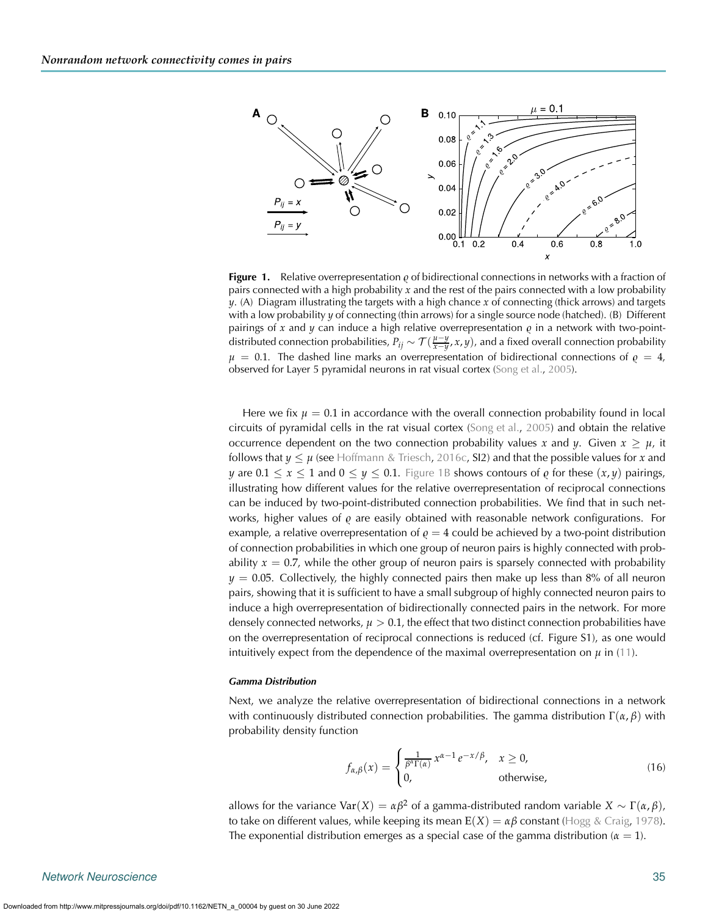

<span id="page-4-0"></span>**Figure 1.** Relative overrepresentation  $\varrho$  of bidirectional connections in networks with a fraction of pairs connected with a high probability *x* and the rest of the pairs connected with a low probability *y*. (A) Diagram illustrating the targets with a high chance *x* of connecting (thick arrows) and targets with a low probability *y* of connecting (thin arrows) for a single source node (hatched). (B) Different pairings of x and y can induce a high relative overrepresentation  $\varrho$  in a network with two-pointdistributed connection probabilities,  $P_{ij} \sim \mathcal{T}(\frac{\mu-y}{x-y}, x, y)$ , and a fixed overall connection probability  $\mu$  = 0.1. The dashed line marks an overrepresentation of bidirectional connections of  $\varrho$  = 4, observed for Layer 5 pyramidal neurons in rat visual cortex [\(Song et al.](#page-10-1), [2005\)](#page-10-1).

Here we fix  $\mu = 0.1$  in accordance with the overall connection probability found in local circuits of pyramidal cells in the rat visual cortex [\(Song et al.](#page-10-1), [2005\)](#page-10-1) and obtain the relative occurrence dependent on the two connection probability values *x* and *y*. Given  $x \geq \mu$ , it follows that  $y \leq \mu$  (see [Hoffmann & Triesch](#page-10-11), [2016c,](#page-10-11) SI2) and that the possible values for x and *y* are  $0.1 \le x \le 1$  and  $0 \le y \le 0.1$ . [Figure 1B](#page-4-0) shows contours of  $\varrho$  for these  $(x, y)$  pairings, illustrating how different values for the relative overrepresentation of reciprocal connections can be induced by two-point-distributed connection probabilities. We find that in such networks, higher values of *ę* are easily obtained with reasonable network configurations. For example, a relative overrepresentation of  $\varrho = 4$  could be achieved by a two-point distribution of connection probabilities in which one group of neuron pairs is highly connected with probability  $x = 0.7$ , while the other group of neuron pairs is sparsely connected with probability  $y = 0.05$ . Collectively, the highly connected pairs then make up less than 8% of all neuron pairs, showing that it is sufficient to have a small subgroup of highly connected neuron pairs to induce a high overrepresentation of bidirectionally connected pairs in the network. For more densely connected networks,  $\mu > 0.1$ , the effect that two distinct connection probabilities have on the overrepresentation of reciprocal connections is reduced (cf. Figure S1), as one would intuitively expect from the dependence of the maximal overrepresentation on  $\mu$  in [\(11\)](#page-3-2).

#### *Gamma Distribution*

Next, we analyze the relative overrepresentation of bidirectional connections in a network with continuously distributed connection probabilities. The gamma distribution  $\Gamma(\alpha, \beta)$  with probability density function

$$
f_{\alpha,\beta}(x) = \begin{cases} \frac{1}{\beta^{\alpha}\Gamma(\alpha)} x^{\alpha-1} e^{-x/\beta}, & x \ge 0, \\ 0, & \text{otherwise}, \end{cases}
$$
(16)

allows for the variance  $\text{Var}(X) = \alpha \beta^2$  of a gamma-distributed random variable  $X \sim \Gamma(\alpha, \beta)$ , to take on different values, while keeping its mean  $E(X) = \alpha \beta$  constant [\(Hogg & Craig](#page-10-12), [1978\)](#page-10-12). The exponential distribution emerges as a special case of the gamma distribution ( $\alpha = 1$ ).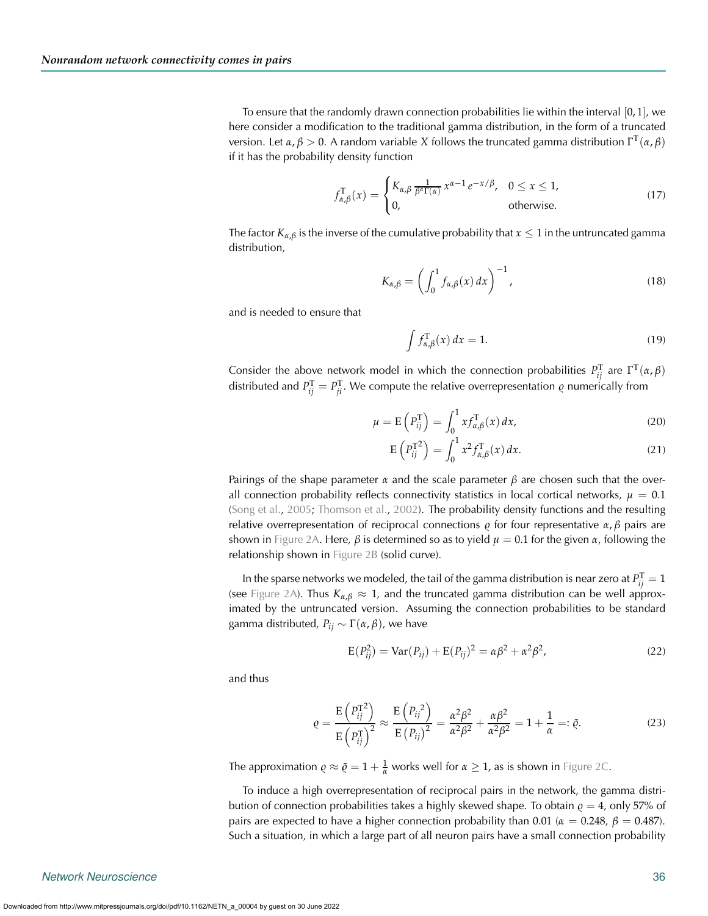To ensure that the randomly drawn connection probabilities lie within the interval  $[0, 1]$ , we here consider a modification to the traditional gamma distribution, in the form of a truncated version. Let *α*, *β >* 0. A random variable *X* follows the truncated gamma distribution ΓT(*α*, *β*) if it has the probability density function

$$
f_{\alpha,\beta}^{\mathrm{T}}(x) = \begin{cases} K_{\alpha,\beta} \frac{1}{\beta^{\alpha}\Gamma(\alpha)} x^{\alpha-1} e^{-x/\beta}, & 0 \le x \le 1, \\ 0, & \text{otherwise.} \end{cases}
$$
(17)

The factor  $K_{\alpha,\beta}$  is the inverse of the cumulative probability that  $x \leq 1$  in the untruncated gamma distribution,

$$
K_{\alpha,\beta} = \left(\int_0^1 f_{\alpha,\beta}(x) dx\right)^{-1},\tag{18}
$$

and is needed to ensure that

$$
\int f_{\alpha,\beta}^{\mathrm{T}}(x) dx = 1.
$$
 (19)

Consider the above network model in which the connection probabilities  $P_{ij}^{\text{T}}$  are  $\Gamma^{\text{T}}(\alpha,\beta)$ distributed and  $P_{ij}^{\mathrm{T}} = P_{ji}^{\mathrm{T}}$ . We compute the relative overrepresentation  $\varrho$  numerically from

$$
\mu = \mathcal{E}\left(P_{ij}^{\mathrm{T}}\right) = \int_0^1 x f_{\alpha,\beta}^{\mathrm{T}}(x) \, dx,\tag{20}
$$

$$
E\left(P_{ij}^{T^2}\right) = \int_0^1 x^2 f_{\alpha,\beta}^T(x) dx.
$$
 (21)

Pairings of the shape parameter *α* and the scale parameter *β* are chosen such that the overall connection probability reflects connectivity statistics in local cortical networks,  $\mu = 0.1$ [\(Song et al.](#page-10-1), [2005;](#page-10-1) [Thomson et al.](#page-10-9), [2002\)](#page-10-9). The probability density functions and the resulting relative overrepresentation of reciprocal connections *ρ* for four representative *α*, *β* pairs are shown in [Figure 2A.](#page-6-0) Here,  $\beta$  is determined so as to yield  $\mu = 0.1$  for the given *α*, following the relationship shown in [Figure 2B](#page-6-0) (solid curve).

In the sparse networks we modeled, the tail of the gamma distribution is near zero at  $P_{ij}^{\rm T} = 1$ (see [Figure 2A\)](#page-6-0). Thus  $K_{\alpha,\beta} \approx 1$ , and the truncated gamma distribution can be well approximated by the untruncated version. Assuming the connection probabilities to be standard gamma distributed,  $P_{ii}$  ∼ Γ( $\alpha$ ,  $\beta$ ), we have

$$
E(P_{ij}^2) = Var(P_{ij}) + E(P_{ij})^2 = \alpha \beta^2 + \alpha^2 \beta^2,
$$
\n(22)

and thus

$$
\varrho = \frac{\mathrm{E}\left(P_{ij}^{\mathrm{T}^2}\right)}{\mathrm{E}\left(P_{ij}^{\mathrm{T}}\right)^2} \approx \frac{\mathrm{E}\left(P_{ij}^2\right)}{\mathrm{E}\left(P_{ij}\right)^2} = \frac{\alpha^2 \beta^2}{\alpha^2 \beta^2} + \frac{\alpha \beta^2}{\alpha^2 \beta^2} = 1 + \frac{1}{\alpha} =: \tilde{\varrho}.
$$
\n(23)

The approximation  $\rho \approx \tilde{\rho} = 1 + \frac{1}{\alpha}$  works well for  $\alpha \geq 1$ , as is shown in [Figure 2C.](#page-6-0)

To induce a high overrepresentation of reciprocal pairs in the network, the gamma distribution of connection probabilities takes a highly skewed shape. To obtain  $\varrho = 4$ , only 57% of pairs are expected to have a higher connection probability than 0.01 ( $\alpha = 0.248$ ,  $\beta = 0.487$ ). Such a situation, in which a large part of all neuron pairs have a small connection probability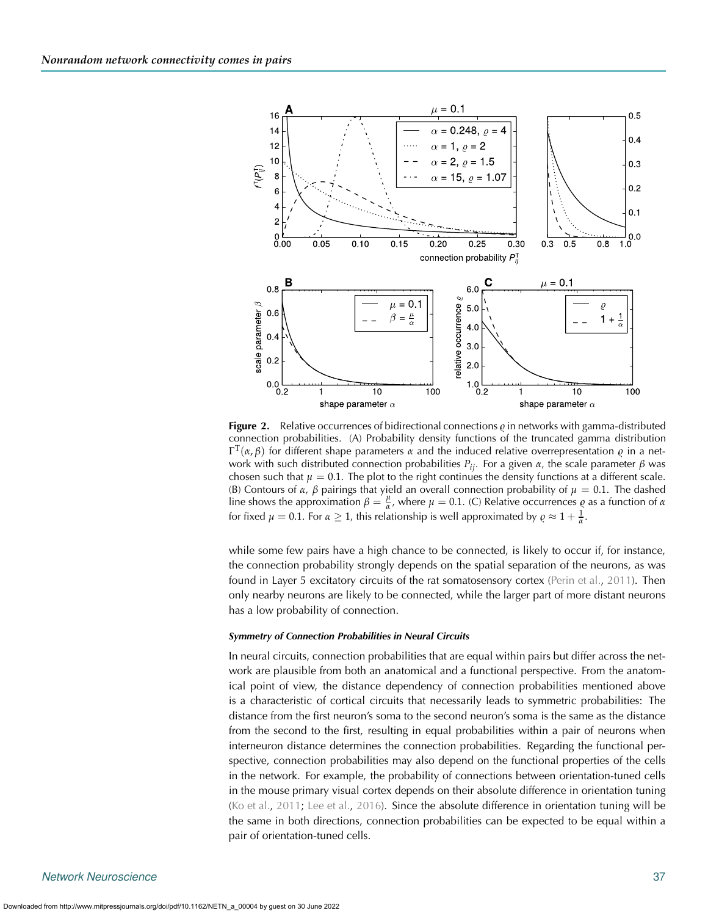

<span id="page-6-0"></span>**Figure 2.** Relative occurrences of bidirectional connections  $\varrho$  in networks with gamma-distributed connection probabilities. (A) Probability density functions of the truncated gamma distribution  $\Gamma^{\rm T}(\alpha,\beta)$  for different shape parameters  $\alpha$  and the induced relative overrepresentation  $\varrho$  in a network with such distributed connection probabilities *Pij*. For a given *α*, the scale parameter *β* was chosen such that  $\mu = 0.1$ . The plot to the right continues the density functions at a different scale. (B) Contours of *α*, *β* pairings that yield an overall connection probability of  $μ = 0.1$ . The dashed line shows the approximation  $β = \frac{μ}{α}$ , where  $μ = 0.1$ . (C) Relative occurrences  $ϕ$  as a function of *α* for fixed  $\mu = 0.1$ . For  $\alpha \geq 1$ , this relationship is well approximated by  $\rho \approx 1 + \frac{1}{\alpha}$ .

while some few pairs have a high chance to be connected, is likely to occur if, for instance, the connection probability strongly depends on the spatial separation of the neurons, as was found in Layer 5 excitatory circuits of the rat somatosensory cortex [\(Perin et al.,](#page-10-0) [2011\)](#page-10-0). Then only nearby neurons are likely to be connected, while the larger part of more distant neurons has a low probability of connection.

#### *Symmetry of Connection Probabilities in Neural Circuits*

In neural circuits, connection probabilities that are equal within pairs but differ across the network are plausible from both an anatomical and a functional perspective. From the anatomical point of view, the distance dependency of connection probabilities mentioned above is a characteristic of cortical circuits that necessarily leads to symmetric probabilities: The distance from the first neuron's soma to the second neuron's soma is the same as the distance from the second to the first, resulting in equal probabilities within a pair of neurons when interneuron distance determines the connection probabilities. Regarding the functional perspective, connection probabilities may also depend on the functional properties of the cells in the network. For example, the probability of connections between orientation-tuned cells in the mouse primary visual cortex depends on their absolute difference in orientation tuning [\(Ko et al.,](#page-10-13) [2011;](#page-10-13) [Lee et al.,](#page-10-10) [2016\)](#page-10-10). Since the absolute difference in orientation tuning will be the same in both directions, connection probabilities can be expected to be equal within a pair of orientation-tuned cells.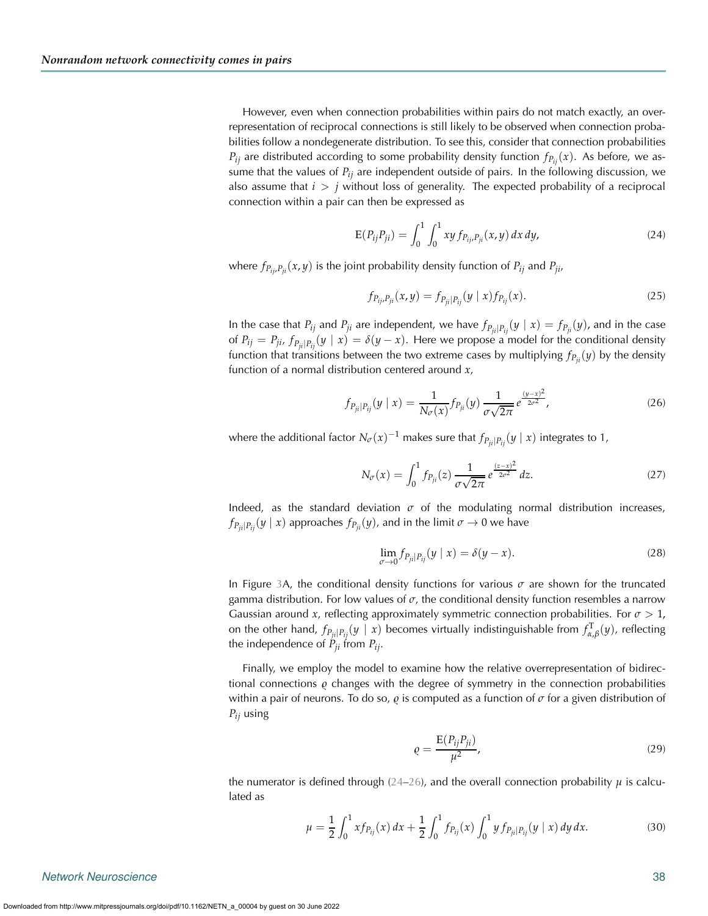However, even when connection probabilities within pairs do not match exactly, an overrepresentation of reciprocal connections is still likely to be observed when connection probabilities follow a nondegenerate distribution. To see this, consider that connection probabilities  $P_{ij}$  are distributed according to some probability density function  $f_{P_{ij}}(x)$ . As before, we assume that the values of  $P_{ij}$  are independent outside of pairs. In the following discussion, we also assume that *i > j* without loss of generality. The expected probability of a reciprocal connection within a pair can then be expressed as

$$
E(P_{ij}P_{ji}) = \int_0^1 \int_0^1 xy f_{P_{ij},P_{ji}}(x,y) dx dy,
$$
 (24)

where  $f_{P_{ij},P_{ij}}(x,y)$  is the joint probability density function of  $P_{ij}$  and  $P_{ji}$ ,

<span id="page-7-0"></span>
$$
f_{P_{ij},P_{ji}}(x,y) = f_{P_{ji}|P_{ij}}(y \mid x) f_{P_{ij}}(x).
$$
 (25)

In the case that  $P_{ij}$  and  $P_{ji}$  are independent, we have  $f_{P_{ji}|P_{ij}}(y | x) = f_{P_{ji}}(y)$ , and in the case of  $P_{ij} = P_{ji}$ ,  $f_{P_{ii}|P_{ii}}(y \mid x) = \delta(y-x)$ . Here we propose a model for the conditional density function that transitions between the two extreme cases by multiplying  $f_{P_{ii}}(y)$  by the density function of a normal distribution centered around *x*,

$$
f_{P_{ji}|P_{ij}}(y \mid x) = \frac{1}{N_{\sigma}(x)} f_{P_{ji}}(y) \frac{1}{\sigma \sqrt{2\pi}} e^{\frac{(y-x)^2}{2\sigma^2}},
$$
\n(26)

where the additional factor  $N_{\sigma}(x)^{-1}$  makes sure that  $f_{P_{ii}|P_{ii}}(y | x)$  integrates to 1,

<span id="page-7-1"></span>
$$
N_{\sigma}(x) = \int_0^1 f_{P_{ji}}(z) \, \frac{1}{\sigma \sqrt{2\pi}} \, e^{\frac{(z-x)^2}{2\sigma^2}} \, dz. \tag{27}
$$

Indeed, as the standard deviation  $\sigma$  of the modulating normal distribution increases,  $f_{P_{ij}|P_{ij}}(y \mid x)$  approaches  $f_{P_{ij}}(y)$ , and in the limit  $\sigma \to 0$  we have

$$
\lim_{\sigma \to 0} f_{P_{ji}|P_{ij}}(y \mid x) = \delta(y - x). \tag{28}
$$

In Figure [3A](#page-8-0), the conditional density functions for various  $\sigma$  are shown for the truncated gamma distribution. For low values of  $\sigma$ , the conditional density function resembles a narrow Gaussian around *x*, reflecting approximately symmetric connection probabilities. For *σ >* 1, on the other hand,  $f_{P_{ji}|P_{ij}}(y \mid x)$  becomes virtually indistinguishable from  $f_{\alpha,\beta}^T(y)$ , reflecting the independence of  $P_{ii}$  from  $P_{ij}$ .

Finally, we employ the model to examine how the relative overrepresentation of bidirectional connections *g* changes with the degree of symmetry in the connection probabilities within a pair of neurons. To do so, *ϱ* is computed as a function of *σ* for a given distribution of *Pij* using

<span id="page-7-2"></span>
$$
\varrho = \frac{E(P_{ij}P_{ji})}{\mu^2},\tag{29}
$$

the numerator is defined through ( $24-26$ ), and the overall connection probability  $\mu$  is calculated as

$$
\mu = \frac{1}{2} \int_0^1 x f_{P_{ij}}(x) dx + \frac{1}{2} \int_0^1 f_{P_{ij}}(x) \int_0^1 y f_{P_{ji}|P_{ij}}(y \mid x) dy dx.
$$
 (30)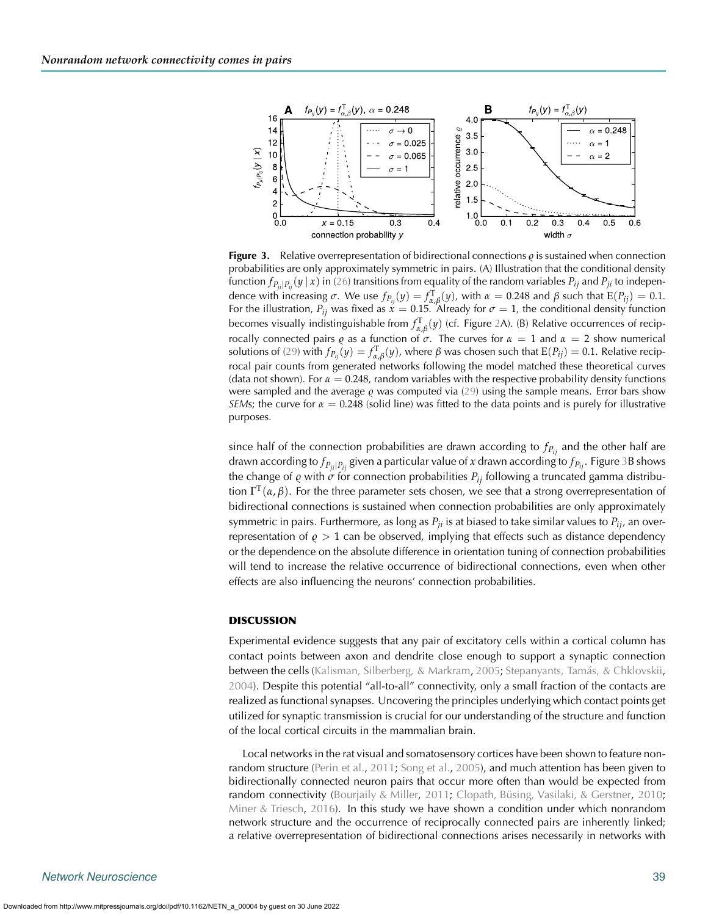

<span id="page-8-0"></span>**Figure 3.** Relative overrepresentation of bidirectional connections  $\varrho$  is sustained when connection probabilities are only approximately symmetric in pairs. (A) Illustration that the conditional density function  $f_{P_i|P_i}(y|x)$  in [\(26\)](#page-7-1) transitions from equality of the random variables  $P_{ij}$  and  $P_{ji}$  to independence with increasing  $\sigma$ . We use  $f_{P_{ij}}(y) = f_{\alpha,\beta}^{T}(y)$ , with  $\alpha = 0.248$  and  $\beta$  such that  $E(P_{ij}) = 0.1$ . For the illustration,  $P_{ij}$  was fixed as  $\dot{x}=0.15$ . Already for  $\sigma=1$ , the conditional density function becomes visually indistinguishable from  $f_{\alpha,\beta}^{\rm T}(y)$  (cf. Figure [2A](#page-6-0)). (B) Relative occurrences of recip*rocally connected pairs <i>ę* as a function of *σ*. The curves for  $\alpha = 1$  and  $\alpha = 2$  show numerical solutions of [\(29\)](#page-7-2) with  $f_{P_{ij}}(y)=f_{\alpha,\beta}^\mathrm{T}(y)$ , where  $\beta$  was chosen such that  $\mathrm{E}(P_{ij})=0.1.$  Relative reciprocal pair counts from generated networks following the model matched these theoretical curves (data not shown). For  $\alpha = 0.248$ , random variables with the respective probability density functions were sampled and the average  $\varrho$  was computed via [\(29\)](#page-7-2) using the sample means. Error bars show *SEMs*; the curve for  $\alpha = 0.248$  (solid line) was fitted to the data points and is purely for illustrative purposes.

since half of the connection probabilities are drawn according to  $f_{P_{ii}}$  and the other half are drawn according to *fPji*|*Pij* given a particular value of *x* drawn according to *fPij* . Figure [3B](#page-8-0) shows the change of  $\varrho$  with  $\sigma$  for connection probabilities  $P_{ij}$  following a truncated gamma distribution  $\Gamma^T(\alpha, \beta)$ . For the three parameter sets chosen, we see that a strong overrepresentation of bidirectional connections is sustained when connection probabilities are only approximately symmetric in pairs. Furthermore, as long as *Pji* is at biased to take similar values to *Pij*, an overrepresentation of  $\rho > 1$  can be observed, implying that effects such as distance dependency or the dependence on the absolute difference in orientation tuning of connection probabilities will tend to increase the relative occurrence of bidirectional connections, even when other effects are also influencing the neurons' connection probabilities.

#### **DISCUSSION**

Experimental evidence suggests that any pair of excitatory cells within a cortical column has contact points between axon and dendrite close enough to support a synaptic connection between the cells [\(Kalisman, Silberberg, & Markram](#page-10-14), [2005;](#page-10-14) [Stepanyants, Tamás, & Chklovskii](#page-10-15), [2004\)](#page-10-15). Despite this potential "all-to-all" connectivity, only a small fraction of the contacts are realized as functional synapses. Uncovering the principles underlying which contact points get utilized for synaptic transmission is crucial for our understanding of the structure and function of the local cortical circuits in the mammalian brain.

Local networks in the rat visual and somatosensory cortices have been shown to feature nonrandom structure [\(Perin et al.](#page-10-0), [2011;](#page-10-0) [Song et al.](#page-10-1), [2005\)](#page-10-1), and much attention has been given to bidirectionally connected neuron pairs that occur more often than would be expected from random connectivity [\(Bourjaily & Miller,](#page-10-4) [2011;](#page-10-4) [Clopath, Büsing, Vasilaki, & Gerstner](#page-10-16), [2010](#page-10-16); [Miner & Triesch,](#page-10-17) [2016\)](#page-10-17). In this study we have shown a condition under which nonrandom network structure and the occurrence of reciprocally connected pairs are inherently linked; a relative overrepresentation of bidirectional connections arises necessarily in networks with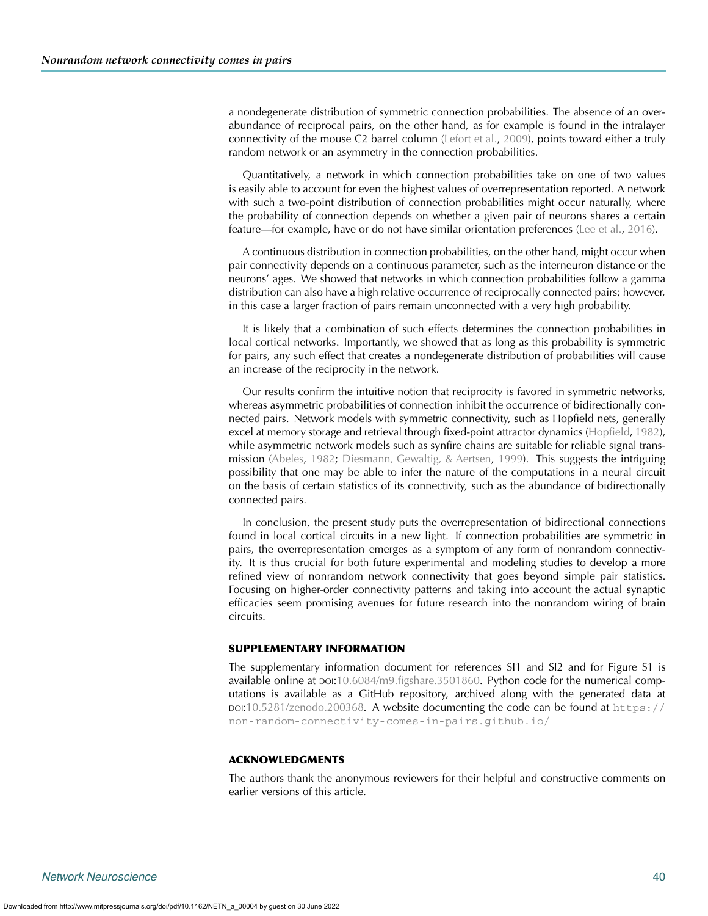a nondegenerate distribution of symmetric connection probabilities. The absence of an overabundance of reciprocal pairs, on the other hand, as for example is found in the intralayer connectivity of the mouse C2 barrel column [\(Lefort et al.](#page-10-3), [2009\)](#page-10-3), points toward either a truly random network or an asymmetry in the connection probabilities.

Quantitatively, a network in which connection probabilities take on one of two values is easily able to account for even the highest values of overrepresentation reported. A network with such a two-point distribution of connection probabilities might occur naturally, where the probability of connection depends on whether a given pair of neurons shares a certain feature—for example, have or do not have similar orientation preferences [\(Lee et al.,](#page-10-10) [2016](#page-10-10)).

A continuous distribution in connection probabilities, on the other hand, might occur when pair connectivity depends on a continuous parameter, such as the interneuron distance or the neurons' ages. We showed that networks in which connection probabilities follow a gamma distribution can also have a high relative occurrence of reciprocally connected pairs; however, in this case a larger fraction of pairs remain unconnected with a very high probability.

It is likely that a combination of such effects determines the connection probabilities in local cortical networks. Importantly, we showed that as long as this probability is symmetric for pairs, any such effect that creates a nondegenerate distribution of probabilities will cause an increase of the reciprocity in the network.

Our results confirm the intuitive notion that reciprocity is favored in symmetric networks, whereas asymmetric probabilities of connection inhibit the occurrence of bidirectionally connected pairs. Network models with symmetric connectivity, such as Hopfield nets, generally excel at memory storage and retrieval through fixed-point attractor dynamics [\(Hopfield,](#page-10-18) [1982\)](#page-10-18), while asymmetric network models such as synfire chains are suitable for reliable signal transmission [\(Abeles,](#page-10-19) [1982;](#page-10-19) [Diesmann, Gewaltig, & Aertsen,](#page-10-20) [1999](#page-10-20)). This suggests the intriguing possibility that one may be able to infer the nature of the computations in a neural circuit on the basis of certain statistics of its connectivity, such as the abundance of bidirectionally connected pairs.

In conclusion, the present study puts the overrepresentation of bidirectional connections found in local cortical circuits in a new light. If connection probabilities are symmetric in pairs, the overrepresentation emerges as a symptom of any form of nonrandom connectivity. It is thus crucial for both future experimental and modeling studies to develop a more refined view of nonrandom network connectivity that goes beyond simple pair statistics. Focusing on higher-order connectivity patterns and taking into account the actual synaptic efficacies seem promising avenues for future research into the nonrandom wiring of brain circuits.

#### **SUPPLEMENTARY INFORMATION**

The supplementary information document for references SI1 and SI2 and for Figure S1 is available online at  $po:10.6084/m9$ .figshare.3501860. Python code for the numerical computations is available as a GitHub repository, archived along with the generated data at DOI[:10.5281/zenodo.200368.](https://dx.doi.org/10.5281/zenodo.200368) A website documenting the code can be found at [https://](https://non-random-connectivity-comes-in-pairs.github.io/) [non-random-connectivity-comes-in-pairs.github.io/](https://non-random-connectivity-comes-in-pairs.github.io/)

#### **ACKNOWLEDGMENTS**

The authors thank the anonymous reviewers for their helpful and constructive comments on earlier versions of this article.